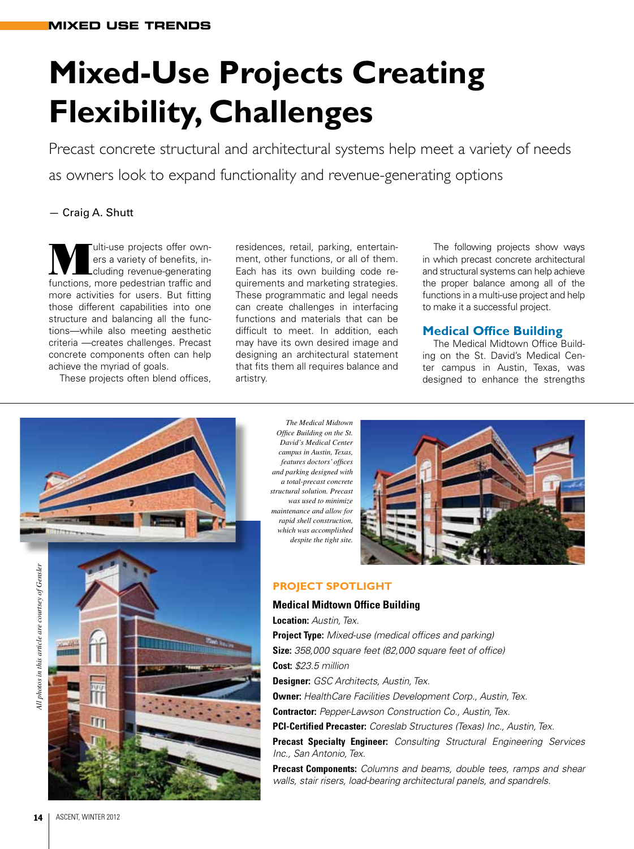# **Mixed-Use Projects Creating Flexibility, Challenges**

Precast concrete structural and architectural systems help meet a variety of needs as owners look to expand functionality and revenue-generating options

# — Craig A. Shutt

ulti-use projects offer owners a variety of benefits, including revenue-generating functions, more pedestrian traffic and more activities for users. But fitting those different capabilities into one structure and balancing all the functions—while also meeting aesthetic criteria —creates challenges. Precast concrete components often can help achieve the myriad of goals.

These projects often blend offices,

residences, retail, parking, entertainment, other functions, or all of them. Each has its own building code requirements and marketing strategies. These programmatic and legal needs can create challenges in interfacing functions and materials that can be difficult to meet. In addition, each may have its own desired image and designing an architectural statement that fits them all requires balance and artistry.

The following projects show ways in which precast concrete architectural and structural systems can help achieve the proper balance among all of the functions in a multi-use project and help to make it a successful project.

# **Medical Office Building**

The Medical Midtown Office Building on the St. David's Medical Center campus in Austin, Texas, was designed to enhance the strengths



*Office Building on the St. David's Medical Center campus in Austin, Texas, features doctors' offices and parking designed with a total-precast concrete structural solution. Precast was used to minimize maintenance and allow for rapid shell construction, which was accomplished* 



# **PROJECT SPOTLIGHT**

#### **Medical Midtown Office Building**

**Project Type:** *Mixed-use (medical offices and parking)* **Size:** *358,000 square feet (82,000 square feet of office)* **Cost:** *\$23.5 million* **Designer:** *GSC Architects, Austin, Tex.* **Owner:** *HealthCare Facilities Development Corp., Austin, Tex.* **Contractor:** *Pepper-Lawson Construction Co., Austin, Tex.* **PCI-Certified Precaster:** *Coreslab Structures (Texas) Inc., Austin, Tex.* **Precast Specialty Engineer:** *Consulting Structural Engineering Services Inc., San Antonio, Tex.*

**Precast Components:** *Columns and beams, double tees, ramps and shear walls, stair risers, load-bearing architectural panels, and spandrels.*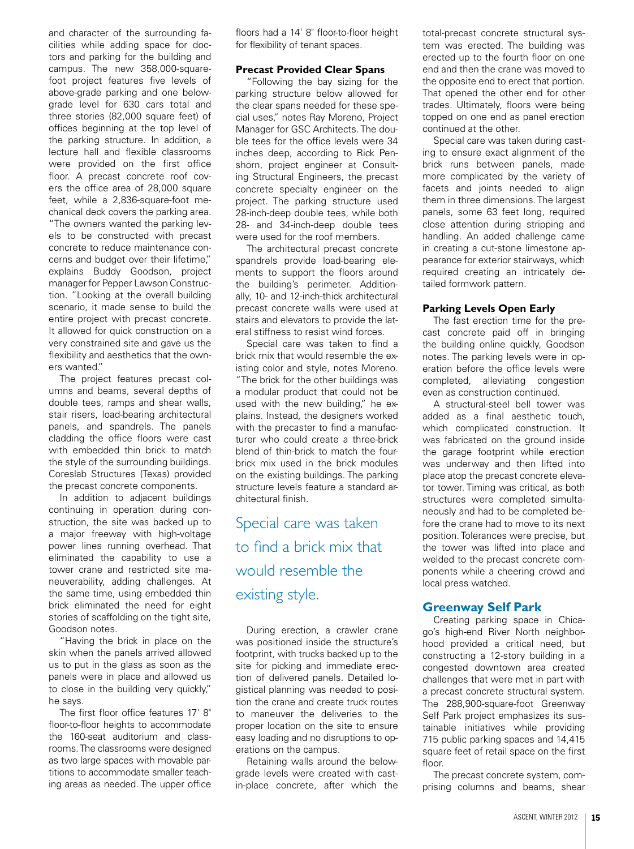and character of the surrounding facilities while adding space for doctors and parking for the building and campus. The new 358,000-squarefoot project features five levels of above-grade parking and one belowgrade level for 630 cars total and three stories (82,000 square feet) of offices beginning at the top level of the parking structure. In addition, a lecture hall and flexible classrooms were provided on the first office floor. A precast concrete roof covers the office area of 28,000 square feet, while a 2,836-square-foot mechanical deck covers the parking area. "The owners wanted the parking levels to be constructed with precast concrete to reduce maintenance concerns and budget over their lifetime," explains Buddy Goodson, project manager for Pepper Lawson Construction. "Looking at the overall building scenario, it made sense to build the entire project with precast concrete. It allowed for quick construction on a very constrained site and gave us the flexibility and aesthetics that the owners wanted."

The project features precast columns and beams, several depths of double tees, ramps and shear walls, stair risers, load-bearing architectural panels, and spandrels. The panels cladding the office floors were cast with embedded thin brick to match the style of the surrounding buildings. Coreslab Structures (Texas) provided the precast concrete components.

In addition to adjacent buildings continuing in operation during construction, the site was backed up to a major freeway with high-voltage power lines running overhead. That eliminated the capability to use a tower crane and restricted site maneuverability, adding challenges. At the same time, using embedded thin brick eliminated the need for eight stories of scaffolding on the tight site, Goodson notes.

"Having the brick in place on the skin when the panels arrived allowed us to put in the glass as soon as the panels were in place and allowed us to close in the building very quickly," he says.

The first floor office features 17' 8" floor-to-floor heights to accommodate the 160-seat auditorium and classrooms. The classrooms were designed as two large spaces with movable partitions to accommodate smaller teaching areas as needed. The upper office

floors had a 14' 8" floor-to-floor height for flexibility of tenant spaces.

#### **Precast Provided Clear Spans**

"Following the bay sizing for the parking structure below allowed for the clear spans needed for these special uses," notes Ray Moreno, Project Manager for GSC Architects. The double tees for the office levels were 34 inches deep, according to Rick Penshorn, project engineer at Consulting Structural Engineers, the precast concrete specialty engineer on the project. The parking structure used 28-inch-deep double tees, while both 28- and 34-inch-deep double tees were used for the roof members.

The architectural precast concrete spandrels provide load-bearing elements to support the floors around the building's perimeter. Additionally, 10- and 12-inch-thick architectural precast concrete walls were used at stairs and elevators to provide the lateral stiffness to resist wind forces.

Special care was taken to find a brick mix that would resemble the existing color and style, notes Moreno. "The brick for the other buildings was a modular product that could not be used with the new building," he explains. Instead, the designers worked with the precaster to find a manufacturer who could create a three-brick blend of thin-brick to match the fourbrick mix used in the brick modules on the existing buildings. The parking structure levels feature a standard architectural finish.

# Special care was taken to find a brick mix that would resemble the existing style.

During erection, a crawler crane was positioned inside the structure's footprint, with trucks backed up to the site for picking and immediate erection of delivered panels. Detailed logistical planning was needed to position the crane and create truck routes to maneuver the deliveries to the proper location on the site to ensure easy loading and no disruptions to operations on the campus.

Retaining walls around the belowgrade levels were created with castin-place concrete, after which the

total-precast concrete structural system was erected. The building was erected up to the fourth floor on one end and then the crane was moved to the opposite end to erect that portion. That opened the other end for other trades. Ultimately, floors were being topped on one end as panel erection continued at the other.

Special care was taken during casting to ensure exact alignment of the brick runs between panels, made more complicated by the variety of facets and joints needed to align them in three dimensions. The largest panels, some 63 feet long, required close attention during stripping and handling. An added challenge came in creating a cut-stone limestone appearance for exterior stairways, which required creating an intricately detailed formwork pattern.

#### **Parking Levels Open Early**

The fast erection time for the precast concrete paid off in bringing the building online quickly, Goodson notes. The parking levels were in operation before the office levels were completed, alleviating congestion even as construction continued.

A structural-steel bell tower was added as a final aesthetic touch, which complicated construction. It was fabricated on the ground inside the garage footprint while erection was underway and then lifted into place atop the precast concrete elevator tower. Timing was critical, as both structures were completed simultaneously and had to be completed before the crane had to move to its next position. Tolerances were precise, but the tower was lifted into place and welded to the precast concrete components while a cheering crowd and local press watched.

#### **Greenway Self Park**

Creating parking space in Chicago's high-end River North neighborhood provided a critical need, but constructing a 12-story building in a congested downtown area created challenges that were met in part with a precast concrete structural system. The 288,900-square-foot Greenway Self Park project emphasizes its sustainable initiatives while providing 715 public parking spaces and 14,415 square feet of retail space on the first floor.

The precast concrete system, comprising columns and beams, shear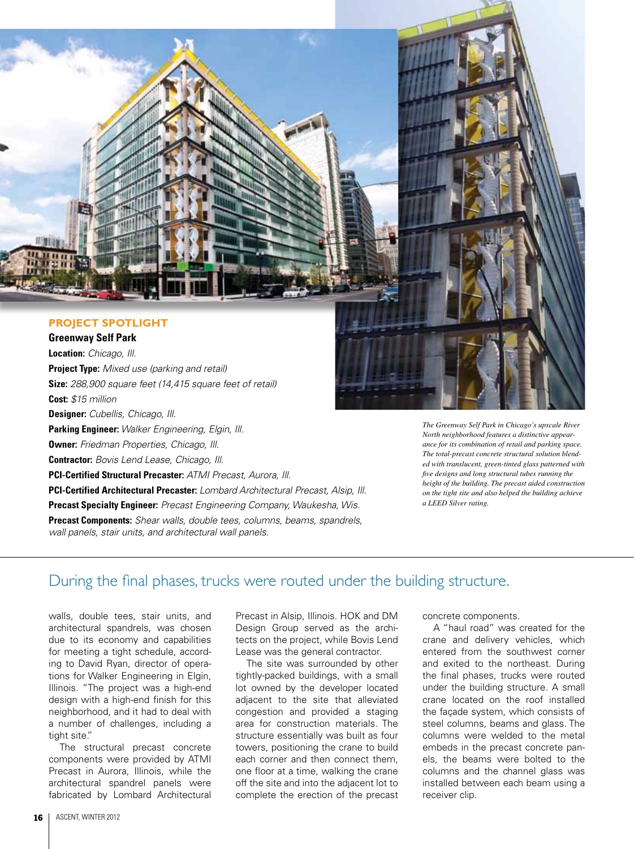

# **PROJECT SPOTLIGHT**

**Greenway Self Park Location:** *Chicago, Ill.* **Project Type:** *Mixed use (parking and retail)* **Size:** *288,900 square feet (14,415 square feet of retail)* **Cost:** *\$15 million* **Designer:** *Cubellis, Chicago, Ill.* **Parking Engineer:** *Walker Engineering, Elgin, Ill.* **Owner:** *Friedman Properties, Chicago, Ill.* **Contractor:** *Bovis Lend Lease, Chicago, Ill.* **PCI-Certified Structural Precaster:** *ATMI Precast, Aurora, Ill.* **PCI-Certified Architectural Precaster:** *Lombard Architectural Precast, Alsip, Ill.* **Precast Specialty Engineer:** *Precast Engineering Company, Waukesha, Wis.* **Precast Components:** *Shear walls, double tees, columns, beams, spandrels, wall panels, stair units, and architectural wall panels.*

*The Greenway Self Park in Chicago's upscale River North neighborhood features a distinctive appearance for its combination of retail and parking space. The total-precast concrete structural solution blended with translucent, green-tinted glass patterned with five designs and long structural tubes running the height of the building. The precast aided construction on the tight site and also helped the building achieve a LEED Silver rating.*

# During the final phases, trucks were routed under the building structure.

walls, double tees, stair units, and architectural spandrels, was chosen due to its economy and capabilities for meeting a tight schedule, according to David Ryan, director of operations for Walker Engineering in Elgin, Illinois. "The project was a high-end design with a high-end finish for this neighborhood, and it had to deal with a number of challenges, including a tight site."

The structural precast concrete components were provided by ATMI Precast in Aurora, Illinois, while the architectural spandrel panels were fabricated by Lombard Architectural

Precast in Alsip, Illinois. HOK and DM Design Group served as the architects on the project, while Bovis Lend Lease was the general contractor.

The site was surrounded by other tightly-packed buildings, with a small lot owned by the developer located adjacent to the site that alleviated congestion and provided a staging area for construction materials. The structure essentially was built as four towers, positioning the crane to build each corner and then connect them, one floor at a time, walking the crane off the site and into the adjacent lot to complete the erection of the precast concrete components.

A "haul road" was created for the crane and delivery vehicles, which entered from the southwest corner and exited to the northeast. During the final phases, trucks were routed under the building structure. A small crane located on the roof installed the façade system, which consists of steel columns, beams and glass. The columns were welded to the metal embeds in the precast concrete panels, the beams were bolted to the columns and the channel glass was installed between each beam using a receiver clip.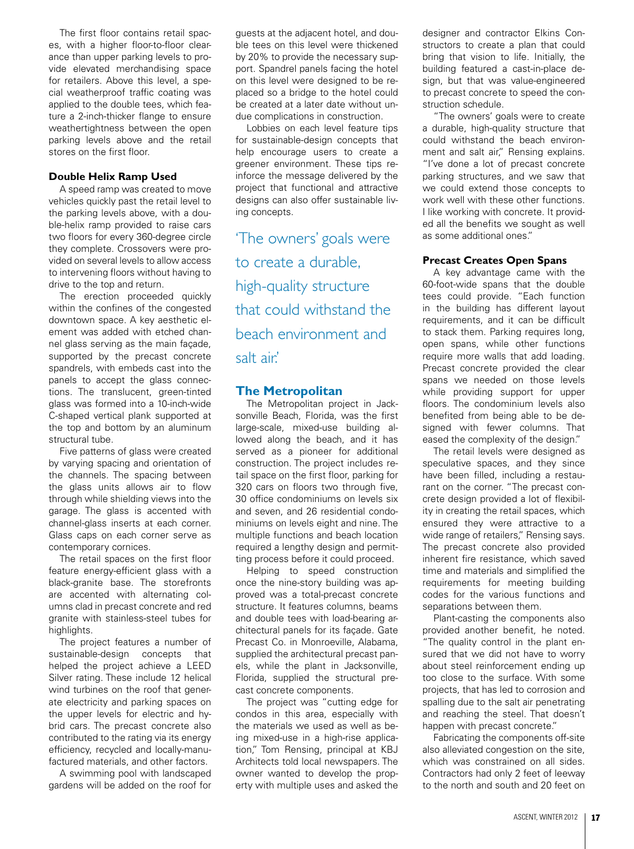The first floor contains retail spaces, with a higher floor-to-floor clearance than upper parking levels to provide elevated merchandising space for retailers. Above this level, a special weatherproof traffic coating was applied to the double tees, which feature a 2-inch-thicker flange to ensure weathertightness between the open parking levels above and the retail stores on the first floor.

## **Double Helix Ramp Used**

A speed ramp was created to move vehicles quickly past the retail level to the parking levels above, with a double-helix ramp provided to raise cars two floors for every 360-degree circle they complete. Crossovers were provided on several levels to allow access to intervening floors without having to drive to the top and return.

The erection proceeded quickly within the confines of the congested downtown space. A key aesthetic element was added with etched channel glass serving as the main façade, supported by the precast concrete spandrels, with embeds cast into the panels to accept the glass connections. The translucent, green-tinted glass was formed into a 10-inch-wide C-shaped vertical plank supported at the top and bottom by an aluminum structural tube.

Five patterns of glass were created by varying spacing and orientation of the channels. The spacing between the glass units allows air to flow through while shielding views into the garage. The glass is accented with channel-glass inserts at each corner. Glass caps on each corner serve as contemporary cornices.

The retail spaces on the first floor feature energy-efficient glass with a black-granite base. The storefronts are accented with alternating columns clad in precast concrete and red granite with stainless-steel tubes for highlights.

The project features a number of sustainable-design concepts that helped the project achieve a LEED Silver rating. These include 12 helical wind turbines on the roof that generate electricity and parking spaces on the upper levels for electric and hybrid cars. The precast concrete also contributed to the rating via its energy efficiency, recycled and locally-manufactured materials, and other factors.

A swimming pool with landscaped gardens will be added on the roof for

guests at the adjacent hotel, and double tees on this level were thickened by 20% to provide the necessary support. Spandrel panels facing the hotel on this level were designed to be replaced so a bridge to the hotel could be created at a later date without undue complications in construction.

Lobbies on each level feature tips for sustainable-design concepts that help encourage users to create a greener environment. These tips reinforce the message delivered by the project that functional and attractive designs can also offer sustainable living concepts.

'The owners' goals were to create a durable, high-quality structure that could withstand the beach environment and salt air.'

# **The Metropolitan**

The Metropolitan project in Jacksonville Beach, Florida, was the first large-scale, mixed-use building allowed along the beach, and it has served as a pioneer for additional construction. The project includes retail space on the first floor, parking for 320 cars on floors two through five, 30 office condominiums on levels six and seven, and 26 residential condominiums on levels eight and nine. The multiple functions and beach location required a lengthy design and permitting process before it could proceed.

Helping to speed construction once the nine-story building was approved was a total-precast concrete structure. It features columns, beams and double tees with load-bearing architectural panels for its façade. Gate Precast Co. in Monroeville, Alabama, supplied the architectural precast panels, while the plant in Jacksonville, Florida, supplied the structural precast concrete components.

The project was "cutting edge for condos in this area, especially with the materials we used as well as being mixed-use in a high-rise application," Tom Rensing, principal at KBJ Architects told local newspapers. The owner wanted to develop the property with multiple uses and asked the designer and contractor Elkins Constructors to create a plan that could bring that vision to life. Initially, the building featured a cast-in-place design, but that was value-engineered to precast concrete to speed the construction schedule.

"The owners' goals were to create a durable, high-quality structure that could withstand the beach environment and salt air," Rensing explains. "I've done a lot of precast concrete parking structures, and we saw that we could extend those concepts to work well with these other functions. I like working with concrete. It provided all the benefits we sought as well as some additional ones."

#### **Precast Creates Open Spans**

A key advantage came with the 60-foot-wide spans that the double tees could provide. "Each function in the building has different layout requirements, and it can be difficult to stack them. Parking requires long, open spans, while other functions require more walls that add loading. Precast concrete provided the clear spans we needed on those levels while providing support for upper floors. The condominium levels also benefited from being able to be designed with fewer columns. That eased the complexity of the design."

The retail levels were designed as speculative spaces, and they since have been filled, including a restaurant on the corner. "The precast concrete design provided a lot of flexibility in creating the retail spaces, which ensured they were attractive to a wide range of retailers." Rensing says. The precast concrete also provided inherent fire resistance, which saved time and materials and simplified the requirements for meeting building codes for the various functions and separations between them.

Plant-casting the components also provided another benefit, he noted. "The quality control in the plant ensured that we did not have to worry about steel reinforcement ending up too close to the surface. With some projects, that has led to corrosion and spalling due to the salt air penetrating and reaching the steel. That doesn't happen with precast concrete."

Fabricating the components off-site also alleviated congestion on the site, which was constrained on all sides. Contractors had only 2 feet of leeway to the north and south and 20 feet on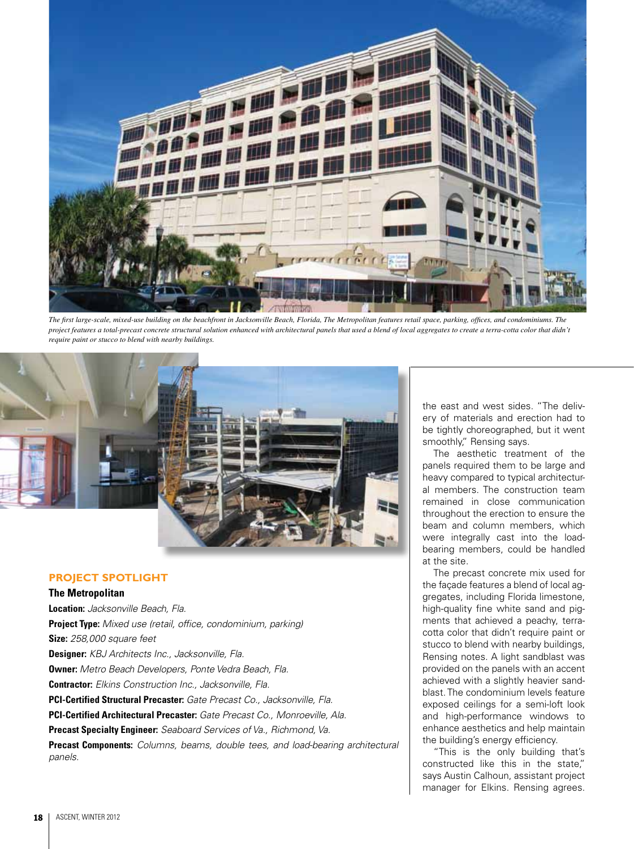

*The first large-scale, mixed-use building on the beachfront in Jacksonville Beach, Florida, The Metropolitan features retail space, parking, offices, and condominiums. The project features a total-precast concrete structural solution enhanced with architectural panels that used a blend of local aggregates to create a terra-cotta color that didn't require paint or stucco to blend with nearby buildings.*



# **PROJECT SPOTLIGHT**

#### **The Metropolitan**

**Location:** *Jacksonville Beach, Fla.* **Project Type:** *Mixed use (retail, office, condominium, parking)* **Size:** *258,000 square feet* **Designer:** *KBJ Architects Inc., Jacksonville, Fla.* **Owner:** *Metro Beach Developers, Ponte Vedra Beach, Fla.* **Contractor:** *Elkins Construction Inc., Jacksonville, Fla.* **PCI-Certified Structural Precaster:** *Gate Precast Co., Jacksonville, Fla.* **PCI-Certified Architectural Precaster:** *Gate Precast Co., Monroeville, Ala.* **Precast Specialty Engineer:** *Seaboard Services of Va., Richmond, Va.* **Precast Components:** *Columns, beams, double tees, and load-bearing architectural panels.*

the east and west sides. "The delivery of materials and erection had to be tightly choreographed, but it went smoothly," Rensing says.

The aesthetic treatment of the panels required them to be large and heavy compared to typical architectural members. The construction team remained in close communication throughout the erection to ensure the beam and column members, which were integrally cast into the loadbearing members, could be handled at the site.

The precast concrete mix used for the façade features a blend of local aggregates, including Florida limestone, high-quality fine white sand and pigments that achieved a peachy, terracotta color that didn't require paint or stucco to blend with nearby buildings, Rensing notes. A light sandblast was provided on the panels with an accent achieved with a slightly heavier sandblast. The condominium levels feature exposed ceilings for a semi-loft look and high-performance windows to enhance aesthetics and help maintain the building's energy efficiency.

"This is the only building that's constructed like this in the state," says Austin Calhoun, assistant project manager for Elkins. Rensing agrees.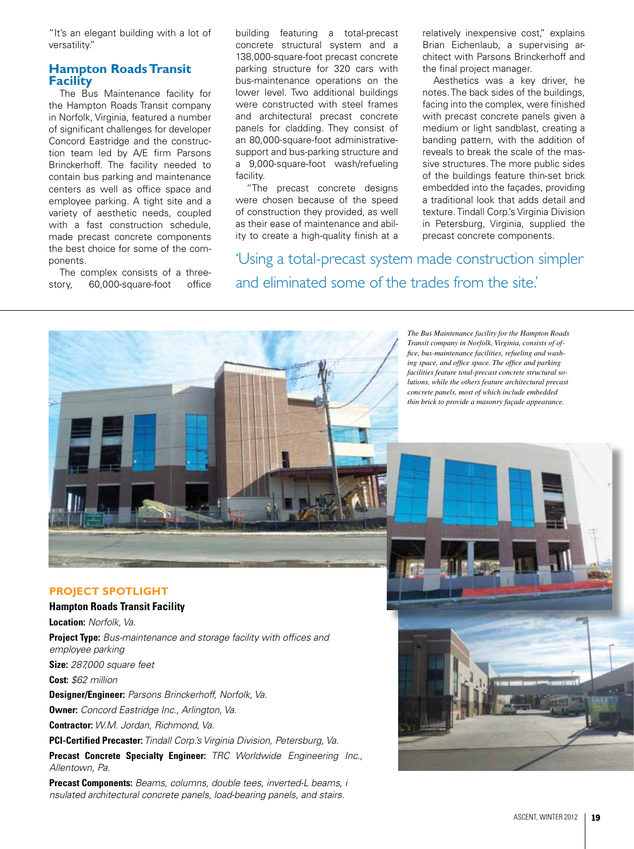"It's an elegant building with a lot of versatility."

# **Hampton Roads Transit Facility**

The Bus Maintenance facility for the Hampton Roads Transit company in Norfolk, Virginia, featured a number of significant challenges for developer Concord Eastridge and the construction team led by A/E firm Parsons Brinckerhoff. The facility needed to contain bus parking and maintenance centers as well as office space and employee parking. A tight site and a variety of aesthetic needs, coupled with a fast construction schedule, made precast concrete components the best choice for some of the components.

The complex consists of a threestory, 60,000-square-foot office building featuring a total-precast concrete structural system and a 138,000-square-foot precast concrete parking structure for 320 cars with bus-maintenance operations on the lower level. Two additional buildings were constructed with steel frames and architectural precast concrete panels for cladding. They consist of an 80,000-square-foot administrativesupport and bus-parking structure and a 9,000-square-foot wash/refueling facility.

"The precast concrete designs were chosen because of the speed of construction they provided, as well as their ease of maintenance and ability to create a high-quality finish at a

'Using a total-precast system made construction simpler and eliminated some of the trades from the site.'

> *The Bus Maintenance facility for the Hampton Roads Transit company in Norfolk, Virginia, consists of office, bus-maintenance facilities, refueling and washing space, and office space. The office and parking facilities feature total-precast concrete structural solutions, while the others feature architectural precast concrete panels, most of which include embedded thin brick to provide a masonry façade appearance.*

relatively inexpensive cost," explains Brian Eichenlaub, a supervising architect with Parsons Brinckerhoff and

Aesthetics was a key driver, he notes. The back sides of the buildings, facing into the complex, were finished with precast concrete panels given a medium or light sandblast, creating a banding pattern, with the addition of reveals to break the scale of the massive structures. The more public sides of the buildings feature thin-set brick embedded into the façades, providing a traditional look that adds detail and texture. Tindall Corp.'s Virginia Division in Petersburg, Virginia, supplied the precast concrete components.

the final project manager.

## **PROJECT SPOTLIGHT**

## **Hampton Roads Transit Facility**

**Location:** *Norfolk, Va.*

**Project Type:** *Bus-maintenance and storage facility with offices and employee parking* **Size:** *287,000 square feet*

**Cost:** *\$62 million*

**Designer/Engineer:** *Parsons Brinckerhoff, Norfolk, Va.*

**Owner:** *Concord Eastridge Inc., Arlington, Va.*

**Contractor:** *W.M. Jordan, Richmond, Va.*

**PCI-Certified Precaster:** *Tindall Corp.'s Virginia Division, Petersburg, Va.*

**Precast Concrete Specialty Engineer:** *TRC Worldwide Engineering Inc., Allentown, Pa.*

**Precast Components:** *Beams, columns, double tees, inverted-L beams, i nsulated architectural concrete panels, load-bearing panels, and stairs.*

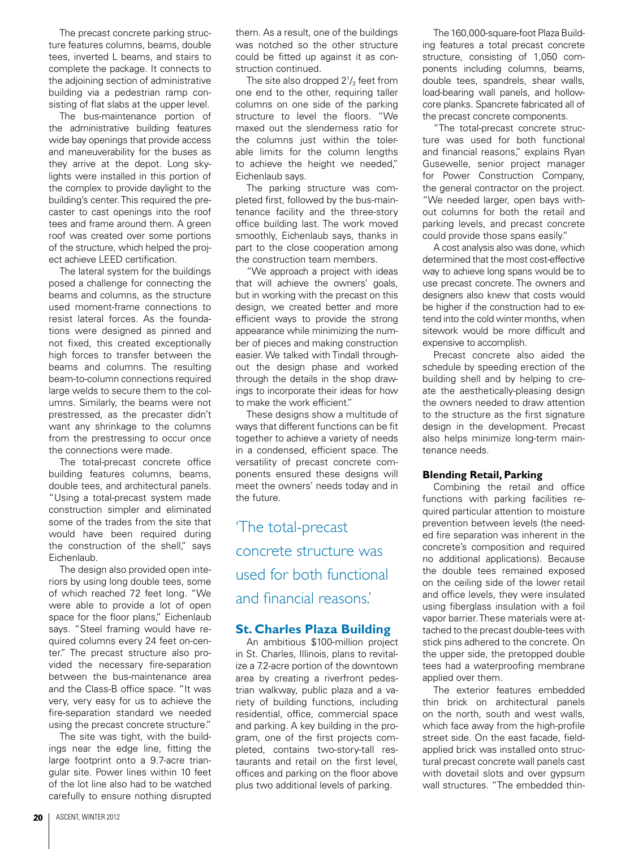The precast concrete parking structure features columns, beams, double tees, inverted L beams, and stairs to complete the package. It connects to the adjoining section of administrative building via a pedestrian ramp consisting of flat slabs at the upper level.

The bus-maintenance portion of the administrative building features wide bay openings that provide access and maneuverability for the buses as they arrive at the depot. Long skylights were installed in this portion of the complex to provide daylight to the building's center. This required the precaster to cast openings into the roof tees and frame around them. A green roof was created over some portions of the structure, which helped the project achieve LEED certification.

The lateral system for the buildings posed a challenge for connecting the beams and columns, as the structure used moment-frame connections to resist lateral forces. As the foundations were designed as pinned and not fixed, this created exceptionally high forces to transfer between the beams and columns. The resulting beam-to-column connections required large welds to secure them to the columns. Similarly, the beams were not prestressed, as the precaster didn't want any shrinkage to the columns from the prestressing to occur once the connections were made.

The total-precast concrete office building features columns, beams, double tees, and architectural panels. "Using a total-precast system made construction simpler and eliminated some of the trades from the site that would have been required during the construction of the shell," says Eichenlaub.

The design also provided open interiors by using long double tees, some of which reached 72 feet long. "We were able to provide a lot of open space for the floor plans," Eichenlaub says. "Steel framing would have required columns every 24 feet on-center." The precast structure also provided the necessary fire-separation between the bus-maintenance area and the Class-B office space. "It was very, very easy for us to achieve the fire-separation standard we needed using the precast concrete structure."

The site was tight, with the buildings near the edge line, fitting the large footprint onto a 9.7-acre triangular site. Power lines within 10 feet of the lot line also had to be watched carefully to ensure nothing disrupted

them. As a result, one of the buildings was notched so the other structure could be fitted up against it as construction continued.

The site also dropped 2 $\rm V_2$  feet from one end to the other, requiring taller columns on one side of the parking structure to level the floors. "We maxed out the slenderness ratio for the columns just within the tolerable limits for the column lengths to achieve the height we needed," Eichenlaub says.

The parking structure was completed first, followed by the bus-maintenance facility and the three-story office building last. The work moved smoothly, Eichenlaub says, thanks in part to the close cooperation among the construction team members.

"We approach a project with ideas that will achieve the owners' goals, but in working with the precast on this design, we created better and more efficient ways to provide the strong appearance while minimizing the number of pieces and making construction easier. We talked with Tindall throughout the design phase and worked through the details in the shop drawings to incorporate their ideas for how to make the work efficient."

These designs show a multitude of ways that different functions can be fit together to achieve a variety of needs in a condensed, efficient space. The versatility of precast concrete components ensured these designs will meet the owners' needs today and in the future.

'The total-precast concrete structure was used for both functional and financial reasons.'

# **St. Charles Plaza Building**

An ambitious \$100-million project in St. Charles, Illinois, plans to revitalize a 7.2-acre portion of the downtown area by creating a riverfront pedestrian walkway, public plaza and a variety of building functions, including residential, office, commercial space and parking. A key building in the program, one of the first projects completed, contains two-story-tall restaurants and retail on the first level, offices and parking on the floor above plus two additional levels of parking.

The 160,000-square-foot Plaza Building features a total precast concrete structure, consisting of 1,050 components including columns, beams, double tees, spandrels, shear walls, load-bearing wall panels, and hollowcore planks. Spancrete fabricated all of the precast concrete components.

"The total-precast concrete structure was used for both functional and financial reasons," explains Ryan Gusewelle, senior project manager for Power Construction Company, the general contractor on the project. "We needed larger, open bays without columns for both the retail and parking levels, and precast concrete could provide those spans easily."

A cost analysis also was done, which determined that the most cost-effective way to achieve long spans would be to use precast concrete. The owners and designers also knew that costs would be higher if the construction had to extend into the cold winter months, when sitework would be more difficult and expensive to accomplish.

Precast concrete also aided the schedule by speeding erection of the building shell and by helping to create the aesthetically-pleasing design the owners needed to draw attention to the structure as the first signature design in the development. Precast also helps minimize long-term maintenance needs.

#### **Blending Retail, Parking**

Combining the retail and office functions with parking facilities required particular attention to moisture prevention between levels (the needed fire separation was inherent in the concrete's composition and required no additional applications). Because the double tees remained exposed on the ceiling side of the lower retail and office levels, they were insulated using fiberglass insulation with a foil vapor barrier. These materials were attached to the precast double-tees with stick pins adhered to the concrete. On the upper side, the pretopped double tees had a waterproofing membrane applied over them.

The exterior features embedded thin brick on architectural panels on the north, south and west walls, which face away from the high-profile street side. On the east facade, fieldapplied brick was installed onto structural precast concrete wall panels cast with dovetail slots and over gypsum wall structures. "The embedded thin-